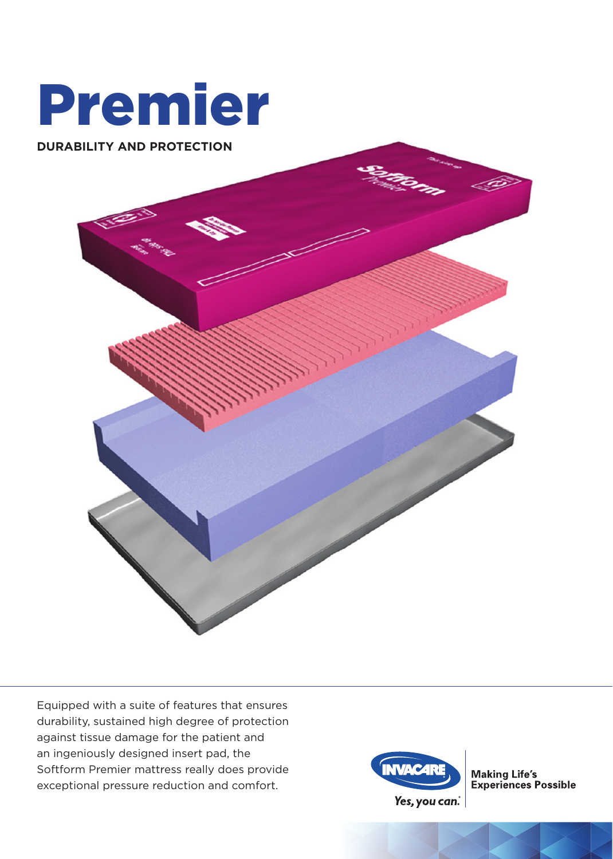



Equipped with a suite of features that ensures durability, sustained high degree of protection against tissue damage for the patient and an ingeniously designed insert pad, the Softform Premier mattress really does provide exceptional pressure reduction and comfort.



**Making Life's<br>Experiences Possible**